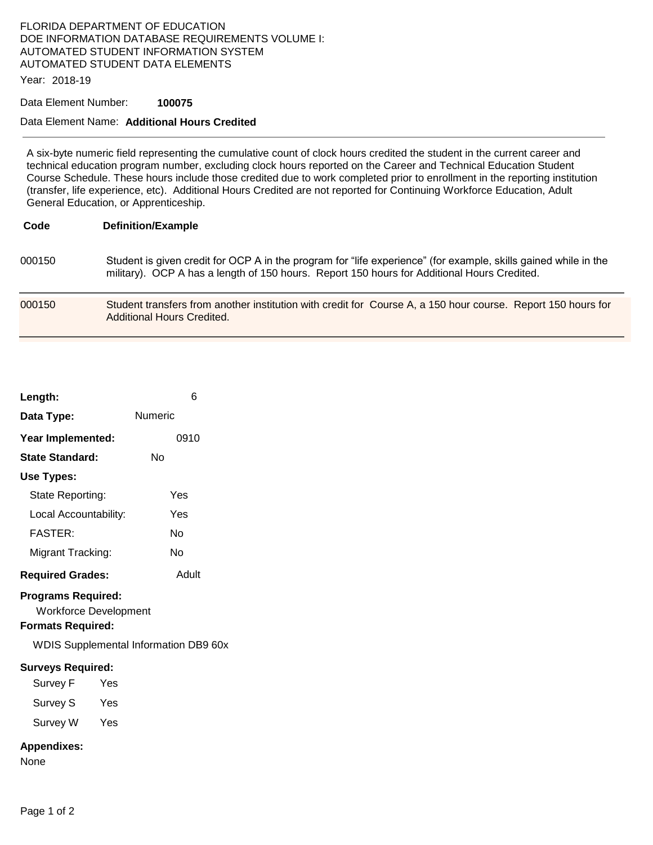# FLORIDA DEPARTMENT OF EDUCATION DOE INFORMATION DATABASE REQUIREMENTS VOLUME I: AUTOMATED STUDENT INFORMATION SYSTEM AUTOMATED STUDENT DATA ELEMENTS

Year: 2018-19

#### Data Element Number: **100075**

### Data Element Name: **Additional Hours Credited**

A six-byte numeric field representing the cumulative count of clock hours credited the student in the current career and technical education program number, excluding clock hours reported on the Career and Technical Education Student Course Schedule. These hours include those credited due to work completed prior to enrollment in the reporting institution (transfer, life experience, etc). Additional Hours Credited are not reported for Continuing Workforce Education, Adult General Education, or Apprenticeship.

 000150 Student is given credit for OCP A in the program for "life experience" (for example, skills gained while in the military). OCP A has a length of 150 hours. Report 150 hours for Additional Hours Credited.

```
 
000150 Student transfers from another institution with credit for Course A, a 150 hour course. Report 150 hours for 
                 Additional Hours Credited.
```

| Length:                                                                                                                               | 6       |
|---------------------------------------------------------------------------------------------------------------------------------------|---------|
| Data Type:                                                                                                                            | Numeric |
| Year Implemented:                                                                                                                     | 0910    |
| <b>State Standard:</b>                                                                                                                | Nο      |
| Use Types:                                                                                                                            |         |
| State Reporting:                                                                                                                      | Yes     |
| Local Accountability:                                                                                                                 | Yes     |
| FASTFR·                                                                                                                               | Nο      |
| Migrant Tracking:                                                                                                                     | N٥      |
| <b>Required Grades:</b>                                                                                                               | Adult   |
| <b>Programs Required:</b><br><b>Workforce Development</b><br><b>Formats Required:</b><br><b>WDIS Supplemental Information DB9 60x</b> |         |
| <b>Surveys Required:</b>                                                                                                              |         |
| Survey F<br>Yes                                                                                                                       |         |
| Survey S<br>Yes                                                                                                                       |         |
| Survey W<br>Yes                                                                                                                       |         |
| <b>Appendixes:</b><br>None                                                                                                            |         |